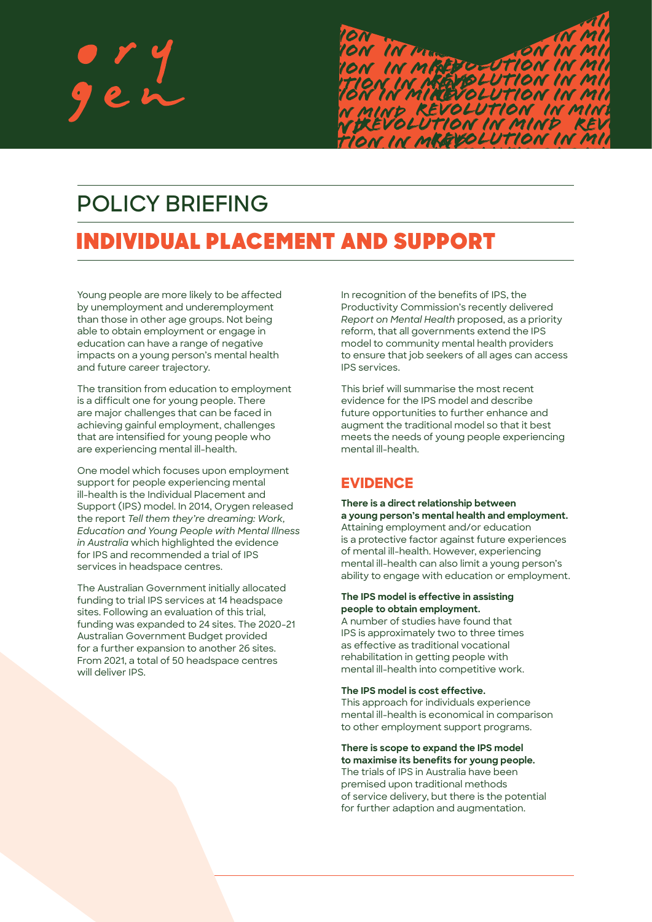

*REVOLUTION in m Revolution in min*

*Revolution in min*

# **POLICY BRIEFING**

# *N in mind REVOLUTION in mind* **Review in the SUPPORT** *tion in mindRevolution in min* INDIVIDUAL PLACEMENT AND SUPPORT

Young people are more likely to be affected by unemployment and underemployment than those in other age groups. Not being able to obtain employment or engage in education can have a range of negative impacts on a young person's mental health and future career trajectory.

The transition from education to employment is a difficult one for young people. There are major challenges that can be faced in achieving gainful employment, challenges that are intensified for young people who are experiencing mental ill-health.

One model which focuses upon employment support for people experiencing mental ill-health is the Individual Placement and Support (IPS) model. In 2014, Orygen released the report *Tell them they're dreaming: Work, Education and Young People with Mental Illness in Australia* which highlighted the evidence for IPS and recommended a trial of IPS services in headspace centres.

The Australian Government initially allocated funding to trial IPS services at 14 headspace sites. Following an evaluation of this trial, funding was expanded to 24 sites. The 2020-21 Australian Government Budget provided for a further expansion to another 26 sites. From 2021, a total of 50 headspace centres will deliver IPS.

In recognition of the benefits of IPS, the Productivity Commission's recently delivered *Report on Mental Health* proposed, as a priority reform, that all governments extend the IPS model to community mental health providers to ensure that job seekers of all ages can access IPS services.

This brief will summarise the most recent evidence for the IPS model and describe future opportunities to further enhance and augment the traditional model so that it best meets the needs of young people experiencing mental ill-health.

# **EVIDENCE**

*n mind*

**There is a direct relationship between a young person's mental health and employment.**  Attaining employment and/or education is a protective factor against future experiences of mental ill-health. However, experiencing mental ill-health can also limit a young person's ability to engage with education or employment.

## **The IPS model is effective in assisting people to obtain employment.**

A number of studies have found that IPS is approximately two to three times as effective as traditional vocational rehabilitation in getting people with mental ill-health into competitive work.

**The IPS model is cost effective.** 

This approach for individuals experience mental ill-health is economical in comparison to other employment support programs.

**There is scope to expand the IPS model to maximise its benefits for young people.**  The trials of IPS in Australia have been premised upon traditional methods of service delivery, but there is the potential for further adaption and augmentation.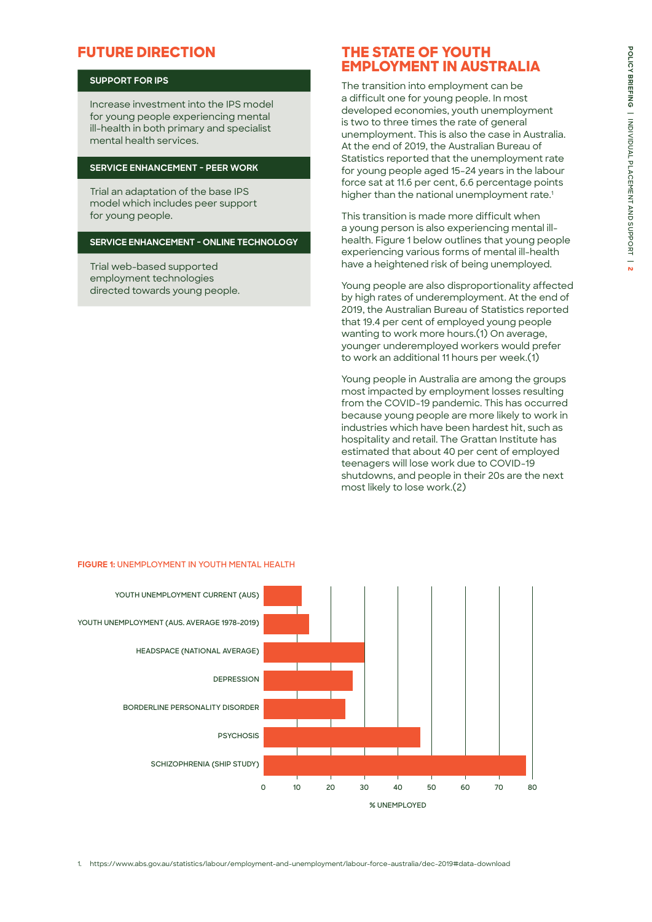# **POLICY BRIEFING | INDIVIDUAL PLACEMENT AND SUPPORT | POLICY BRIEFING | INDIVIDUAL PLACEMENT AND SUPPORT | 2**

# **FUTURE DIRECTION**

### **SUPPORT FOR IPS**

Increase investment into the IPS model for young people experiencing mental ill-health in both primary and specialist mental health services.

### **SERVICE ENHANCEMENT - PEER WORK**

Trial an adaptation of the base IPS model which includes peer support for young people.

### **SERVICE ENHANCEMENT - ONLINE TECHNOLOGY**

Trial web-based supported employment technologies directed towards young people.

# **THE STATE OF YOUTH EMPLOYMENT IN AUSTRALIA**

The transition into employment can be a difficult one for young people. In most developed economies, youth unemployment is two to three times the rate of general unemployment. This is also the case in Australia. At the end of 2019, the Australian Bureau of Statistics reported that the unemployment rate for young people aged 15–24 years in the labour force sat at 11.6 per cent, 6.6 percentage points higher than the national unemployment rate.<sup>1</sup>

This transition is made more difficult when a young person is also experiencing mental illhealth. Figure 1 below outlines that young people experiencing various forms of mental ill-health have a heightened risk of being unemployed.

Young people are also disproportionality affected by high rates of underemployment. At the end of 2019, the Australian Bureau of Statistics reported that 19.4 per cent of employed young people wanting to work more hours.(1) On average, younger underemployed workers would prefer to work an additional 11 hours per week.(1)

Young people in Australia are among the groups most impacted by employment losses resulting from the COVID-19 pandemic. This has occurred because young people are more likely to work in industries which have been hardest hit, such as hospitality and retail. The Grattan Institute has estimated that about 40 per cent of employed teenagers will lose work due to COVID-19 shutdowns, and people in their 20s are the next most likely to lose work.(2)



### **FIGURE 1: UNEMPLOYMENT IN YOUTH MENTAL HEALTH**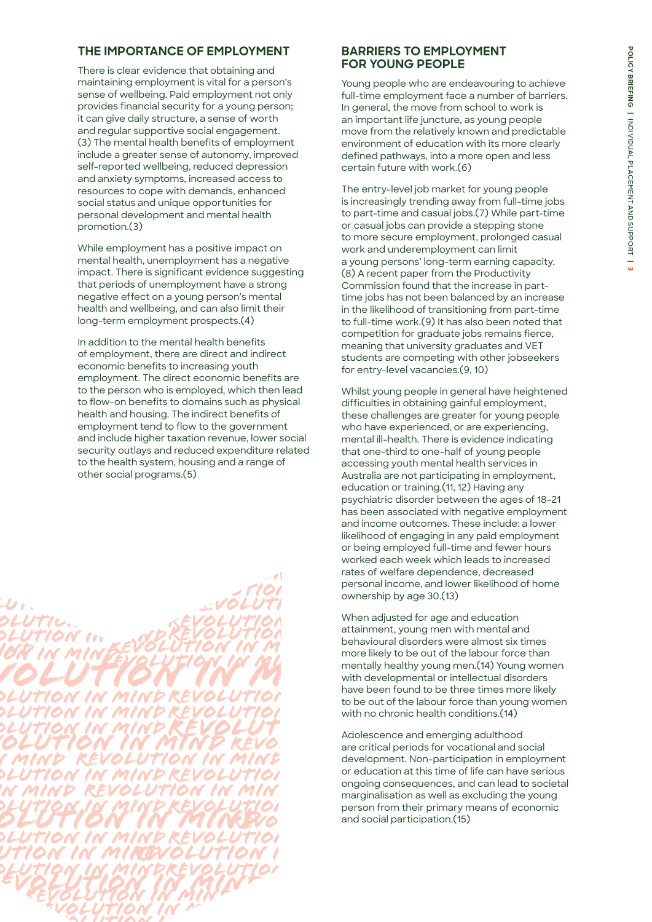# **THE IMPORTANCE OF EMPLOYMENT**

There is clear evidence that obtaining and maintaining employment is vital for a person's sense of wellbeing. Paid employment not only provides financial security for a young person; it can give daily structure, a sense of worth and regular supportive social engagement. (3) The mental health benefits of employment include a greater sense of autonomy, improved self-reported wellbeing, reduced depression and anxiety symptoms, increased access to resources to cope with demands, enhanced social status and unique opportunities for personal development and mental health promotion.(3)

While employment has a positive impact on mental health, unemployment has a negative impact. There is significant evidence suggesting that periods of unemployment have a strong negative effect on a young person's mental health and wellbeing, and can also limit their long-term employment prospects.(4)

In addition to the mental health benefits of employment, there are direct and indirect economic benefits to increasing youth employment. The direct economic benefits are to the person who is employed, which then lead to flow-on benefits to domains such as physical health and housing. The indirect benefits of employment tend to flow to the government and include higher taxation revenue, lower social security outlays and reduced expenditure related to the health system, housing and a range of other social programs.(5)



# **BARRIERS TO EMPLOYMENT FOR YOUNG PEOPLE**

Young people who are endeavouring to achieve full-time employment face a number of barriers. In general, the move from school to work is an important life juncture, as young people move from the relatively known and predictable environment of education with its more clearly defined pathways, into a more open and less certain future with work.(6)

The entry-level job market for young people is increasingly trending away from full-time jobs to part-time and casual jobs.(7) While part-time or casual jobs can provide a stepping stone to more secure employment, prolonged casual work and underemployment can limit a young persons' long-term earning capacity. (8) A recent paper from the Productivity Commission found that the increase in parttime jobs has not been balanced by an increase in the likelihood of transitioning from part-time to full-time work.(9) It has also been noted that competition for graduate jobs remains fierce, meaning that university graduates and VET students are competing with other jobseekers for entry-level vacancies.(9, 10)

Whilst young people in general have heightened difficulties in obtaining gainful employment, these challenges are greater for young people who have experienced, or are experiencing. mental ill-health. There is evidence indicating that one-third to one-half of young people accessing youth mental health services in Australia are not participating in employment, education or training.(11, 12) Having any psychiatric disorder between the ages of 18–21 has been associated with negative employment and income outcomes. These include: a lower likelihood of engaging in any paid employment or being employed full-time and fewer hours worked each week which leads to increased rates of welfare dependence, decreased personal income, and lower likelihood of home ownership by age 30.(13)

When adjusted for age and education attainment, young men with mental and behavioural disorders were almost six times more likely to be out of the labour force than mentally healthy young men.(14) Young women with developmental or intellectual disorders have been found to be three times more likely to be out of the labour force than young women with no chronic health conditions.(14)

Adolescence and emerging adulthood are critical periods for vocational and social development. Non-participation in employment or education at this time of life can have serious ongoing consequences, and can lead to societal marginalisation as well as excluding the young person from their primary means of economic and social participation.(15)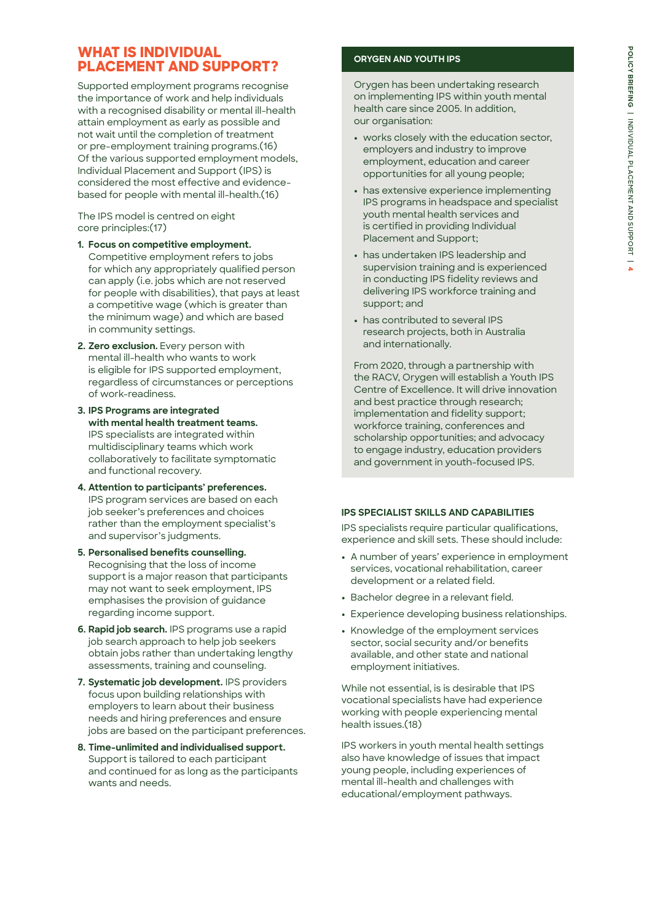# **WHAT IS INDIVIDUAL PLACEMENT AND SUPPORT?**

Supported employment programs recognise the importance of work and help individuals with a recognised disability or mental ill-health attain employment as early as possible and not wait until the completion of treatment or pre-employment training programs.(16) Of the various supported employment models, Individual Placement and Support (IPS) is considered the most effective and evidencebased for people with mental ill-health.(16)

The IPS model is centred on eight core principles:(17)

- **1. Focus on competitive employment.**  Competitive employment refers to jobs for which any appropriately qualified person can apply (i.e. jobs which are not reserved for people with disabilities), that pays at least a competitive wage (which is greater than the minimum wage) and which are based in community settings.
- **2. Zero exclusion.** Every person with mental ill-health who wants to work is eligible for IPS supported employment, regardless of circumstances or perceptions of work-readiness.
- **3. IPS Programs are integrated with mental health treatment teams.**  IPS specialists are integrated within multidisciplinary teams which work collaboratively to facilitate symptomatic and functional recovery.
- **4. Attention to participants' preferences.** IPS program services are based on each job seeker's preferences and choices rather than the employment specialist's and supervisor's judgments.
- **5. Personalised benefits counselling.**  Recognising that the loss of income support is a major reason that participants may not want to seek employment, IPS emphasises the provision of guidance regarding income support.
- **6. Rapid job search.** IPS programs use a rapid job search approach to help job seekers obtain jobs rather than undertaking lengthy assessments, training and counseling.
- **7. Systematic job development.** IPS providers focus upon building relationships with employers to learn about their business needs and hiring preferences and ensure jobs are based on the participant preferences.
- **8. Time-unlimited and individualised support.**  Support is tailored to each participant and continued for as long as the participants wants and needs.

### **ORYGEN AND YOUTH IPS**

Orygen has been undertaking research on implementing IPS within youth mental health care since 2005. In addition, our organisation:

- **•** works closely with the education sector, employers and industry to improve employment, education and career opportunities for all young people;
- **•** has extensive experience implementing IPS programs in headspace and specialist youth mental health services and is certified in providing Individual Placement and Support;
- **•** has undertaken IPS leadership and supervision training and is experienced in conducting IPS fidelity reviews and delivering IPS workforce training and support; and
- **•** has contributed to several IPS research projects, both in Australia and internationally.

From 2020, through a partnership with the RACV, Orygen will establish a Youth IPS Centre of Excellence. It will drive innovation and best practice through research; implementation and fidelity support; workforce training, conferences and scholarship opportunities; and advocacy to engage industry, education providers and government in youth-focused IPS.

### **IPS SPECIALIST SKILLS AND CAPABILITIES**

IPS specialists require particular qualifications, experience and skill sets. These should include:

- **•** A number of years' experience in employment services, vocational rehabilitation, career development or a related field.
- **•** Bachelor degree in a relevant field.
- **•** Experience developing business relationships.
- **•** Knowledge of the employment services sector, social security and/or benefits available, and other state and national employment initiatives.

While not essential, is is desirable that IPS vocational specialists have had experience working with people experiencing mental health issues.(18)

IPS workers in youth mental health settings also have knowledge of issues that impact young people, including experiences of mental ill-health and challenges with educational/employment pathways.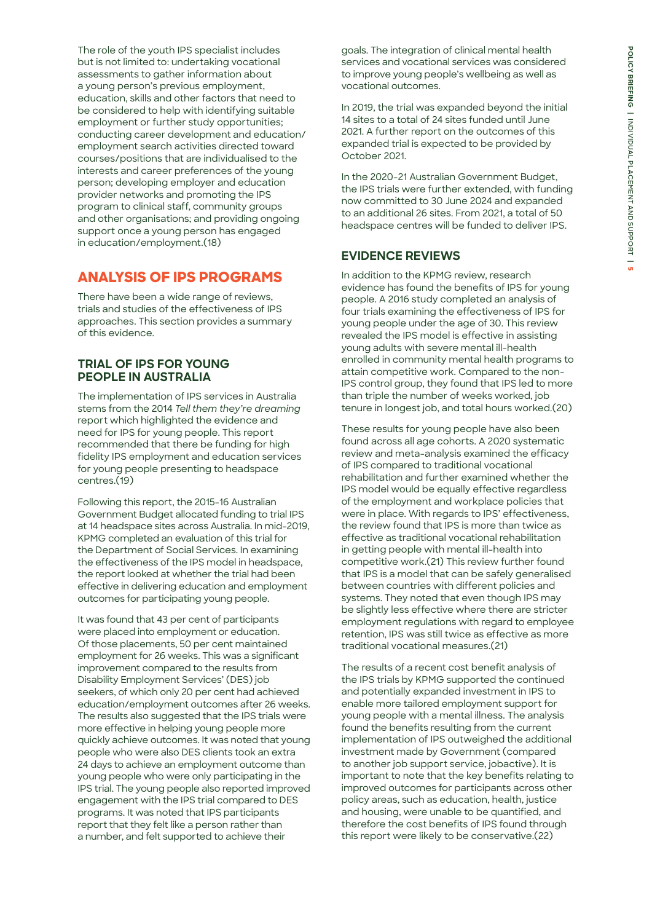The role of the youth IPS specialist includes but is not limited to: undertaking vocational assessments to gather information about a young person's previous employment, education, skills and other factors that need to be considered to help with identifying suitable employment or further study opportunities; conducting career development and education/ employment search activities directed toward courses/positions that are individualised to the interests and career preferences of the young person; developing employer and education provider networks and promoting the IPS program to clinical staff, community groups and other organisations; and providing ongoing support once a young person has engaged in education/employment.(18)

# **ANALYSIS OF IPS PROGRAMS**

There have been a wide range of reviews, trials and studies of the effectiveness of IPS approaches. This section provides a summary of this evidence.

### **TRIAL OF IPS FOR YOUNG PEOPLE IN AUSTRALIA**

The implementation of IPS services in Australia stems from the 2014 *Tell them they're dreaming*  report which highlighted the evidence and need for IPS for young people. This report recommended that there be funding for high fidelity IPS employment and education services for young people presenting to headspace centres.(19)

Following this report, the 2015-16 Australian Government Budget allocated funding to trial IPS at 14 headspace sites across Australia. In mid-2019, KPMG completed an evaluation of this trial for the Department of Social Services. In examining the effectiveness of the IPS model in headspace, the report looked at whether the trial had been effective in delivering education and employment outcomes for participating young people.

It was found that 43 per cent of participants were placed into employment or education. Of those placements, 50 per cent maintained employment for 26 weeks. This was a significant improvement compared to the results from Disability Employment Services' (DES) job seekers, of which only 20 per cent had achieved education/employment outcomes after 26 weeks. The results also suggested that the IPS trials were more effective in helping young people more quickly achieve outcomes. It was noted that young people who were also DES clients took an extra 24 days to achieve an employment outcome than young people who were only participating in the IPS trial. The young people also reported improved engagement with the IPS trial compared to DES programs. It was noted that IPS participants report that they felt like a person rather than a number, and felt supported to achieve their

goals. The integration of clinical mental health services and vocational services was considered to improve young people's wellbeing as well as vocational outcomes.

In 2019, the trial was expanded beyond the initial 14 sites to a total of 24 sites funded until June 2021. A further report on the outcomes of this expanded trial is expected to be provided by October 2021.

In the 2020-21 Australian Government Budget, the IPS trials were further extended, with funding now committed to 30 June 2024 and expanded to an additional 26 sites. From 2021, a total of 50 headspace centres will be funded to deliver IPS.

# **EVIDENCE REVIEWS**

In addition to the KPMG review, research evidence has found the benefits of IPS for young people. A 2016 study completed an analysis of four trials examining the effectiveness of IPS for young people under the age of 30. This review revealed the IPS model is effective in assisting young adults with severe mental ill-health enrolled in community mental health programs to attain competitive work. Compared to the non-IPS control group, they found that IPS led to more than triple the number of weeks worked, job tenure in longest job, and total hours worked.(20)

These results for young people have also been found across all age cohorts. A 2020 systematic review and meta-analysis examined the efficacy of IPS compared to traditional vocational rehabilitation and further examined whether the IPS model would be equally effective regardless of the employment and workplace policies that were in place. With regards to IPS' effectiveness, the review found that IPS is more than twice as effective as traditional vocational rehabilitation in getting people with mental ill-health into competitive work.(21) This review further found that IPS is a model that can be safely generalised between countries with different policies and systems. They noted that even though IPS may be slightly less effective where there are stricter employment regulations with regard to employee retention, IPS was still twice as effective as more traditional vocational measures.(21)

The results of a recent cost benefit analysis of the IPS trials by KPMG supported the continued and potentially expanded investment in IPS to enable more tailored employment support for young people with a mental illness. The analysis found the benefits resulting from the current implementation of IPS outweighed the additional investment made by Government (compared to another job support service, jobactive). It is important to note that the key benefits relating to improved outcomes for participants across other policy areas, such as education, health, justice and housing, were unable to be quantified, and therefore the cost benefits of IPS found through this report were likely to be conservative.(22)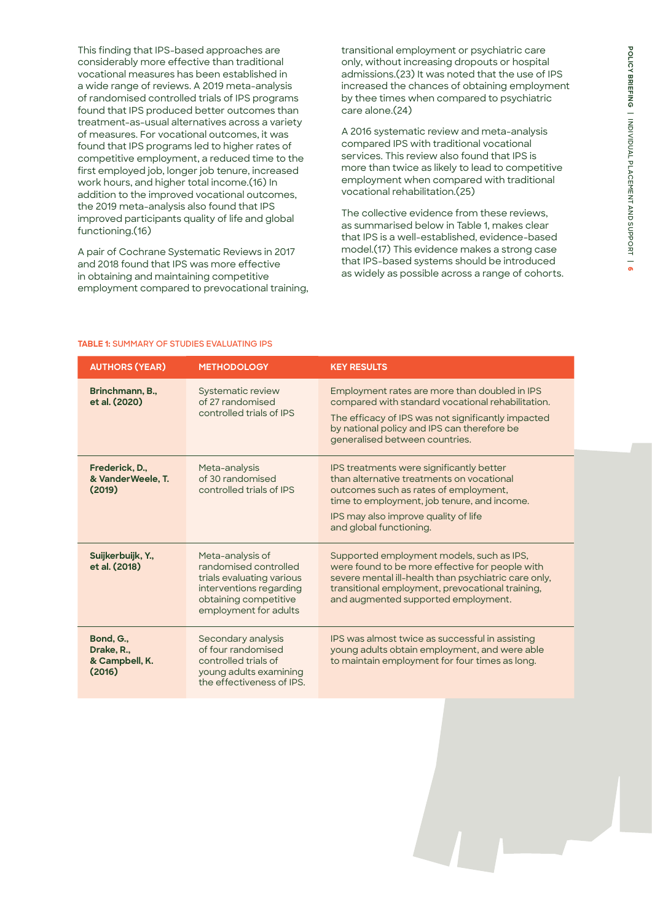This finding that IPS-based approaches are considerably more effective than traditional vocational measures has been established in a wide range of reviews. A 2019 meta-analysis of randomised controlled trials of IPS programs found that IPS produced better outcomes than treatment-as-usual alternatives across a variety of measures. For vocational outcomes, it was found that IPS programs led to higher rates of competitive employment, a reduced time to the first employed job, longer job tenure, increased work hours, and higher total income.(16) In addition to the improved vocational outcomes, the 2019 meta-analysis also found that IPS improved participants quality of life and global functioning.(16)

A pair of Cochrane Systematic Reviews in 2017 and 2018 found that IPS was more effective in obtaining and maintaining competitive employment compared to prevocational training, transitional employment or psychiatric care only, without increasing dropouts or hospital admissions.(23) It was noted that the use of IPS increased the chances of obtaining employment by thee times when compared to psychiatric care alone.(24)

A 2016 systematic review and meta-analysis compared IPS with traditional vocational services. This review also found that IPS is more than twice as likely to lead to competitive employment when compared with traditional vocational rehabilitation.(25)

The collective evidence from these reviews, as summarised below in Table 1, makes clear that IPS is a well-established, evidence-based model.(17) This evidence makes a strong case that IPS-based systems should be introduced as widely as possible across a range of cohorts.

### **TABLE 1: SUMMARY OF STUDIES EVALUATING IPS**

| <b>AUTHORS (YEAR)</b>                               | <b>METHODOLOGY</b>                                                                                                                                  | <b>KEY RESULTS</b>                                                                                                                                                                                                                               |
|-----------------------------------------------------|-----------------------------------------------------------------------------------------------------------------------------------------------------|--------------------------------------------------------------------------------------------------------------------------------------------------------------------------------------------------------------------------------------------------|
| Brinchmann, B.,<br>et al. (2020)                    | Systematic review<br>of 27 randomised<br>controlled trials of IPS                                                                                   | Employment rates are more than doubled in IPS<br>compared with standard vocational rehabilitation.<br>The efficacy of IPS was not significantly impacted<br>by national policy and IPS can therefore be<br>generalised between countries.        |
| Frederick, D.,<br>& VanderWeele, T.<br>(2019)       | Meta-analysis<br>of 30 randomised<br>controlled trials of IPS                                                                                       | IPS treatments were significantly better<br>than alternative treatments on vocational<br>outcomes such as rates of employment,<br>time to employment, job tenure, and income.<br>IPS may also improve quality of life<br>and global functioning. |
| Suijkerbuijk, Y.,<br>et al. (2018)                  | Meta-analysis of<br>randomised controlled<br>trials evaluating various<br>interventions regarding<br>obtaining competitive<br>employment for adults | Supported employment models, such as IPS,<br>were found to be more effective for people with<br>severe mental ill-health than psychiatric care only,<br>transitional employment, prevocational training,<br>and augmented supported employment.  |
| Bond, G.,<br>Drake, R.,<br>& Campbell, K.<br>(2016) | Secondary analysis<br>of four randomised<br>controlled trials of<br>young adults examining<br>the effectiveness of IPS.                             | IPS was almost twice as successful in assisting<br>young adults obtain employment, and were able<br>to maintain employment for four times as long.                                                                                               |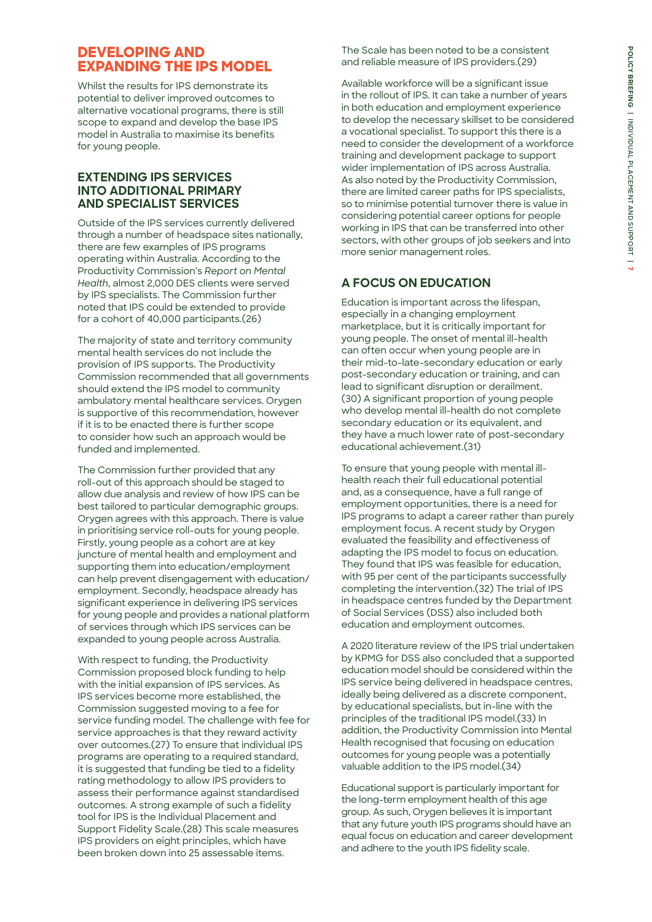# **DEVELOPING AND EXPANDING THE IPS MODEL**

Whilst the results for IPS demonstrate its potential to deliver improved outcomes to alternative vocational programs, there is still scope to expand and develop the base IPS model in Australia to maximise its benefits for young people.

### **EXTENDING IPS SERVICES INTO ADDITIONAL PRIMARY AND SPECIALIST SERVICES**

Outside of the IPS services currently delivered through a number of headspace sites nationally, there are few examples of IPS programs operating within Australia. According to the Productivity Commission's *Report on Mental Health*, almost 2,000 DES clients were served by IPS specialists. The Commission further noted that IPS could be extended to provide for a cohort of 40,000 participants.(26)

The majority of state and territory community mental health services do not include the provision of IPS supports. The Productivity Commission recommended that all governments should extend the IPS model to community ambulatory mental healthcare services. Orygen is supportive of this recommendation, however if it is to be enacted there is further scope to consider how such an approach would be funded and implemented.

The Commission further provided that any roll-out of this approach should be staged to allow due analysis and review of how IPS can be best tailored to particular demographic groups. Orygen agrees with this approach. There is value in prioritising service roll-outs for young people. Firstly, young people as a cohort are at key juncture of mental health and employment and supporting them into education/employment can help prevent disengagement with education/ employment. Secondly, headspace already has significant experience in delivering IPS services for young people and provides a national platform of services through which IPS services can be expanded to young people across Australia.

With respect to funding, the Productivity Commission proposed block funding to help with the initial expansion of IPS services. As IPS services become more established, the Commission suggested moving to a fee for service funding model. The challenge with fee for service approaches is that they reward activity over outcomes.(27) To ensure that individual IPS programs are operating to a required standard, it is suggested that funding be tied to a fidelity rating methodology to allow IPS providers to assess their performance against standardised outcomes. A strong example of such a fidelity tool for IPS is the Individual Placement and Support Fidelity Scale.(28) This scale measures IPS providers on eight principles, which have been broken down into 25 assessable items.

The Scale has been noted to be a consistent and reliable measure of IPS providers.(29)

Available workforce will be a significant issue in the rollout of IPS. It can take a number of years in both education and employment experience to develop the necessary skillset to be considered a vocational specialist. To support this there is a need to consider the development of a workforce training and development package to support wider implementation of IPS across Australia. As also noted by the Productivity Commission, there are limited career paths for IPS specialists, so to minimise potential turnover there is value in considering potential career options for people working in IPS that can be transferred into other sectors, with other groups of job seekers and into more senior management roles.

# **A FOCUS ON EDUCATION**

Education is important across the lifespan, especially in a changing employment marketplace, but it is critically important for young people. The onset of mental ill-health can often occur when young people are in their mid-to-late-secondary education or early post-secondary education or training, and can lead to significant disruption or derailment. (30) A significant proportion of young people who develop mental ill-health do not complete secondary education or its equivalent, and they have a much lower rate of post-secondary educational achievement.(31)

To ensure that young people with mental illhealth reach their full educational potential and, as a consequence, have a full range of employment opportunities, there is a need for IPS programs to adapt a career rather than purely employment focus. A recent study by Orygen evaluated the feasibility and effectiveness of adapting the IPS model to focus on education. They found that IPS was feasible for education, with 95 per cent of the participants successfully completing the intervention.(32) The trial of IPS in headspace centres funded by the Department of Social Services (DSS) also included both education and employment outcomes.

A 2020 literature review of the IPS trial undertaken by KPMG for DSS also concluded that a supported education model should be considered within the IPS service being delivered in headspace centres, ideally being delivered as a discrete component, by educational specialists, but in-line with the principles of the traditional IPS model.(33) In addition, the Productivity Commission into Mental Health recognised that focusing on education outcomes for young people was a potentially valuable addition to the IPS model.(34)

Educational support is particularly important for the long-term employment health of this age group. As such, Orygen believes it is important that any future youth IPS programs should have an equal focus on education and career development and adhere to the youth IPS fidelity scale.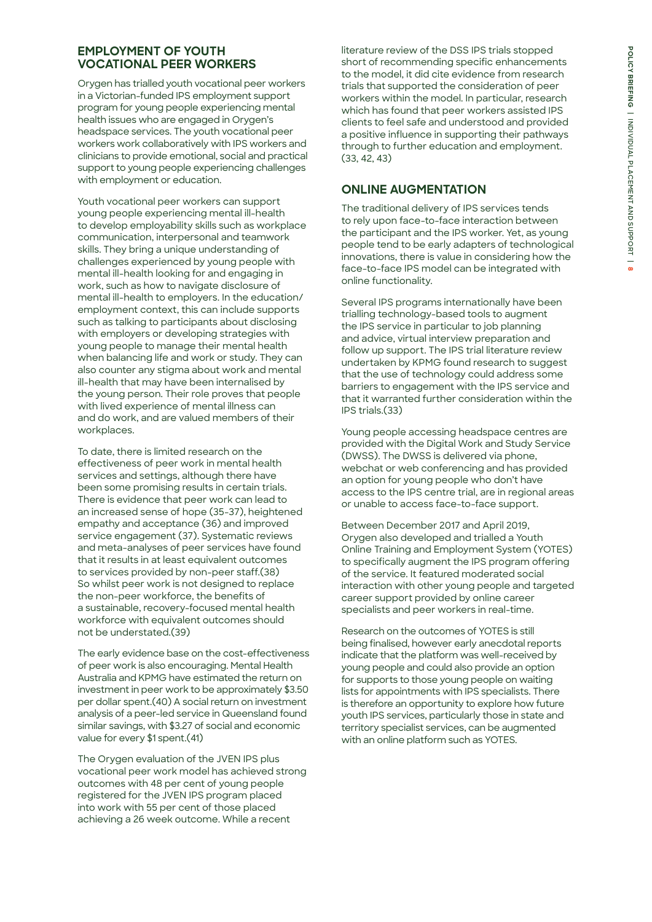# **EMPLOYMENT OF YOUTH VOCATIONAL PEER WORKERS**

Orygen has trialled youth vocational peer workers in a Victorian-funded IPS employment support program for young people experiencing mental health issues who are engaged in Orygen's headspace services. The youth vocational peer workers work collaboratively with IPS workers and clinicians to provide emotional, social and practical support to young people experiencing challenges with employment or education.

Youth vocational peer workers can support young people experiencing mental ill-health to develop employability skills such as workplace communication, interpersonal and teamwork skills. They bring a unique understanding of challenges experienced by young people with mental ill-health looking for and engaging in work, such as how to navigate disclosure of mental ill-health to employers. In the education/ employment context, this can include supports such as talking to participants about disclosing with employers or developing strategies with young people to manage their mental health when balancing life and work or study. They can also counter any stigma about work and mental ill-health that may have been internalised by the young person. Their role proves that people with lived experience of mental illness can and do work, and are valued members of their workplaces.

To date, there is limited research on the effectiveness of peer work in mental health services and settings, although there have been some promising results in certain trials. There is evidence that peer work can lead to an increased sense of hope (35-37), heightened empathy and acceptance (36) and improved service engagement (37). Systematic reviews and meta-analyses of peer services have found that it results in at least equivalent outcomes to services provided by non-peer staff.(38) So whilst peer work is not designed to replace the non-peer workforce, the benefits of a sustainable, recovery-focused mental health workforce with equivalent outcomes should not be understated.(39)

The early evidence base on the cost-effectiveness of peer work is also encouraging. Mental Health Australia and KPMG have estimated the return on investment in peer work to be approximately \$3.50 per dollar spent.(40) A social return on investment analysis of a peer-led service in Queensland found similar savings, with \$3.27 of social and economic value for every \$1 spent.(41)

The Orygen evaluation of the JVEN IPS plus vocational peer work model has achieved strong outcomes with 48 per cent of young people registered for the JVEN IPS program placed into work with 55 per cent of those placed achieving a 26 week outcome. While a recent

literature review of the DSS IPS trials stopped short of recommending specific enhancements to the model, it did cite evidence from research trials that supported the consideration of peer workers within the model. In particular, research which has found that peer workers assisted IPS clients to feel safe and understood and provided a positive influence in supporting their pathways through to further education and employment. (33, 42, 43)

# **ONLINE AUGMENTATION**

The traditional delivery of IPS services tends to rely upon face-to-face interaction between the participant and the IPS worker. Yet, as young people tend to be early adapters of technological innovations, there is value in considering how the face-to-face IPS model can be integrated with online functionality.

Several IPS programs internationally have been trialling technology-based tools to augment the IPS service in particular to job planning and advice, virtual interview preparation and follow up support. The IPS trial literature review undertaken by KPMG found research to suggest that the use of technology could address some barriers to engagement with the IPS service and that it warranted further consideration within the IPS trials.(33)

Young people accessing headspace centres are provided with the Digital Work and Study Service (DWSS). The DWSS is delivered via phone, webchat or web conferencing and has provided an option for young people who don't have access to the IPS centre trial, are in regional areas or unable to access face-to-face support.

Between December 2017 and April 2019, Orygen also developed and trialled a Youth Online Training and Employment System (YOTES) to specifically augment the IPS program offering of the service. It featured moderated social interaction with other young people and targeted career support provided by online career specialists and peer workers in real-time.

Research on the outcomes of YOTES is still being finalised, however early anecdotal reports indicate that the platform was well-received by young people and could also provide an option for supports to those young people on waiting lists for appointments with IPS specialists. There is therefore an opportunity to explore how future youth IPS services, particularly those in state and territory specialist services, can be augmented with an online platform such as YOTES.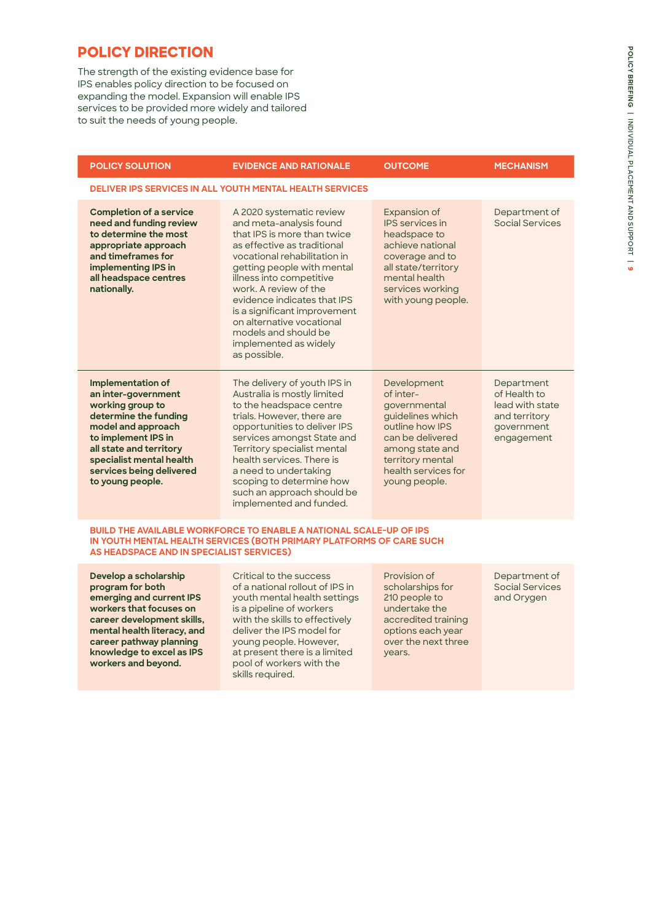# **POLICY DIRECTION**

The strength of the existing evidence base for IPS enables policy direction to be focused on expanding the model. Expansion will enable IPS services to be provided more widely and tailored to suit the needs of young people.

| <b>POLICY SOLUTION</b>                                                                                                                                                                                                                           | <b>EVIDENCE AND RATIONALE</b>                                                                                                                                                                                                                                                                                                                                                                     | <b>OUTCOME</b>                                                                                                                                                                     | <b>MECHANISM</b>                                                                           |  |  |  |
|--------------------------------------------------------------------------------------------------------------------------------------------------------------------------------------------------------------------------------------------------|---------------------------------------------------------------------------------------------------------------------------------------------------------------------------------------------------------------------------------------------------------------------------------------------------------------------------------------------------------------------------------------------------|------------------------------------------------------------------------------------------------------------------------------------------------------------------------------------|--------------------------------------------------------------------------------------------|--|--|--|
| <b>DELIVER IPS SERVICES IN ALL YOUTH MENTAL HEALTH SERVICES</b>                                                                                                                                                                                  |                                                                                                                                                                                                                                                                                                                                                                                                   |                                                                                                                                                                                    |                                                                                            |  |  |  |
| <b>Completion of a service</b><br>need and funding review<br>to determine the most<br>appropriate approach<br>and timeframes for<br>implementing IPS in<br>all headspace centres<br>nationally.                                                  | A 2020 systematic review<br>and meta-analysis found<br>that IPS is more than twice<br>as effective as traditional<br>vocational rehabilitation in<br>getting people with mental<br>illness into competitive<br>work. A review of the<br>evidence indicates that IPS<br>is a significant improvement<br>on alternative vocational<br>models and should be<br>implemented as widely<br>as possible. | Expansion of<br><b>IPS</b> services in<br>headspace to<br>achieve national<br>coverage and to<br>all state/territory<br>mental health<br>services working<br>with young people.    | Department of<br><b>Social Services</b>                                                    |  |  |  |
| <b>Implementation of</b><br>an inter-government<br>working group to<br>determine the funding<br>model and approach<br>to implement IPS in<br>all state and territory<br>specialist mental health<br>services being delivered<br>to young people. | The delivery of youth IPS in<br>Australia is mostly limited<br>to the headspace centre<br>trials. However, there are<br>opportunities to deliver IPS<br>services amongst State and<br>Territory specialist mental<br>health services. There is<br>a need to undertaking<br>scoping to determine how<br>such an approach should be<br>implemented and funded.                                      | Development<br>of inter-<br>governmental<br>guidelines which<br>outline how IPS<br>can be delivered<br>among state and<br>territory mental<br>health services for<br>young people. | Department<br>of Health to<br>lead with state<br>and territory<br>government<br>engagement |  |  |  |
| <b>BUILD THE AVAILABLE WORKFORCE TO ENABLE A NATIONAL SCALE-UP OF IPS</b><br>IN YOUTH MENTAL HEALTH SERVICES (BOTH PRIMARY PLATFORMS OF CARE SUCH<br>AS HEADSPACE AND IN SPECIALIST SERVICES)                                                    |                                                                                                                                                                                                                                                                                                                                                                                                   |                                                                                                                                                                                    |                                                                                            |  |  |  |
| Develop a scholarship<br>program for both<br>emerging and current IPS<br>workers that focuses on<br>career development skills,<br>mental health literacy, and<br>career pathway planning<br>knowledge to excel as IPS<br>workers and beyond.     | Critical to the success<br>of a national rollout of IPS in<br>youth mental health settings<br>is a pipeline of workers<br>with the skills to effectively<br>deliver the IPS model for<br>young people. However,<br>at present there is a limited<br>pool of workers with the<br>skills required.                                                                                                  | Provision of<br>scholarships for<br>210 people to<br>undertake the<br>accredited training<br>options each year<br>over the next three<br>years.                                    | Department of<br><b>Social Services</b><br>and Orygen                                      |  |  |  |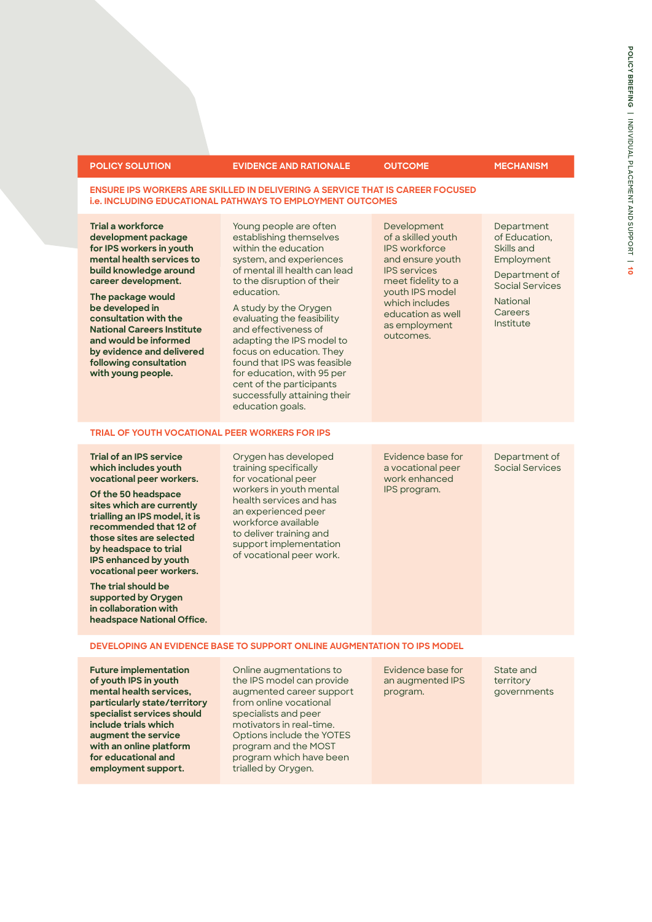| <b>POLICY SOLUTION</b>                                                                                                                                                                                                                                                                                                                                                                                           | <b>EVIDENCE AND RATIONALE</b>                                                                                                                                                                                                                                                                                                                                                                                                                                          | <b>OUTCOME</b>                                                                                                                                                                                                     | <b>MECHANISM</b>                                                                                                                       |  |  |  |
|------------------------------------------------------------------------------------------------------------------------------------------------------------------------------------------------------------------------------------------------------------------------------------------------------------------------------------------------------------------------------------------------------------------|------------------------------------------------------------------------------------------------------------------------------------------------------------------------------------------------------------------------------------------------------------------------------------------------------------------------------------------------------------------------------------------------------------------------------------------------------------------------|--------------------------------------------------------------------------------------------------------------------------------------------------------------------------------------------------------------------|----------------------------------------------------------------------------------------------------------------------------------------|--|--|--|
| <b>ENSURE IPS WORKERS ARE SKILLED IN DELIVERING A SERVICE THAT IS CAREER FOCUSED</b><br><b>i.e. INCLUDING EDUCATIONAL PATHWAYS TO EMPLOYMENT OUTCOMES</b>                                                                                                                                                                                                                                                        |                                                                                                                                                                                                                                                                                                                                                                                                                                                                        |                                                                                                                                                                                                                    |                                                                                                                                        |  |  |  |
| Trial a workforce<br>development package<br>for IPS workers in youth<br>mental health services to<br>build knowledge around<br>career development.<br>The package would<br>be developed in<br>consultation with the<br><b>National Careers Institute</b><br>and would be informed<br>by evidence and delivered<br>following consultation<br>with young people.                                                   | Young people are often<br>establishing themselves<br>within the education<br>system, and experiences<br>of mental ill health can lead<br>to the disruption of their<br>education.<br>A study by the Orygen<br>evaluating the feasibility<br>and effectiveness of<br>adapting the IPS model to<br>focus on education. They<br>found that IPS was feasible<br>for education, with 95 per<br>cent of the participants<br>successfully attaining their<br>education goals. | Development<br>of a skilled youth<br><b>IPS</b> workforce<br>and ensure youth<br><b>IPS</b> services<br>meet fidelity to a<br>youth IPS model<br>which includes<br>education as well<br>as employment<br>outcomes. | Department<br>of Education.<br>Skills and<br>Employment<br>Department of<br>Social Services<br><b>National</b><br>Careers<br>Institute |  |  |  |
|                                                                                                                                                                                                                                                                                                                                                                                                                  | <b>TRIAL OF YOUTH VOCATIONAL PEER WORKERS FOR IPS</b>                                                                                                                                                                                                                                                                                                                                                                                                                  |                                                                                                                                                                                                                    |                                                                                                                                        |  |  |  |
| <b>Trial of an IPS service</b><br>which includes youth<br>vocational peer workers.<br>Of the 50 headspace<br>sites which are currently<br>trialling an IPS model, it is<br>recommended that 12 of<br>those sites are selected<br>by headspace to trial<br>IPS enhanced by youth<br>vocational peer workers.<br>The trial should be<br>supported by Orygen<br>in collaboration with<br>headspace National Office. | Orygen has developed<br>training specifically<br>for vocational peer<br>workers in youth mental<br>health services and has<br>an experienced peer<br>workforce available<br>to deliver training and<br>support implementation<br>of vocational peer work.                                                                                                                                                                                                              | Evidence base for<br>a vocational peer<br>work enhanced<br>IPS program.                                                                                                                                            | Department of<br><b>Social Services</b>                                                                                                |  |  |  |
| DEVELOPING AN EVIDENCE BASE TO SUPPORT ONLINE AUGMENTATION TO IPS MODEL                                                                                                                                                                                                                                                                                                                                          |                                                                                                                                                                                                                                                                                                                                                                                                                                                                        |                                                                                                                                                                                                                    |                                                                                                                                        |  |  |  |
| <b>Future implementation</b><br>of youth IPS in youth<br>mental health services,<br>particularly state/territory<br>specialist services should<br>include trials which<br>augment the service<br>with an online platform<br>for educational and<br>employment support.                                                                                                                                           | Online augmentations to<br>the IPS model can provide<br>augmented career support<br>from online vocational<br>specialists and peer<br>motivators in real-time.<br>Options include the YOTES<br>program and the MOST<br>program which have been<br>trialled by Orygen.                                                                                                                                                                                                  | Evidence base for<br>an augmented IPS<br>program.                                                                                                                                                                  | State and<br>territory<br>governments                                                                                                  |  |  |  |